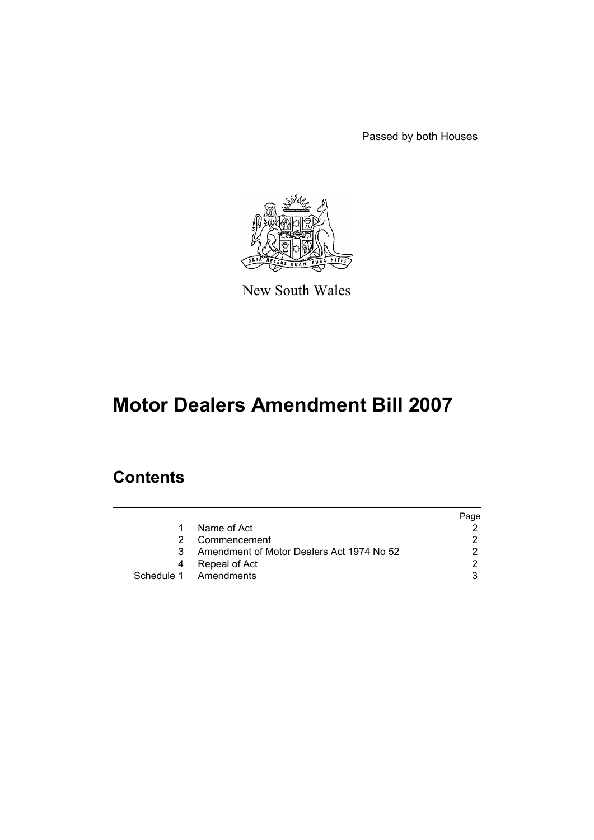Passed by both Houses



New South Wales

# **Motor Dealers Amendment Bill 2007**

## **Contents**

|   |                                           | Page |
|---|-------------------------------------------|------|
| 1 | Name of Act                               |      |
| 2 | Commencement                              |      |
| 3 | Amendment of Motor Dealers Act 1974 No 52 |      |
| 4 | Repeal of Act                             | ົ    |
|   | Schedule 1 Amendments                     |      |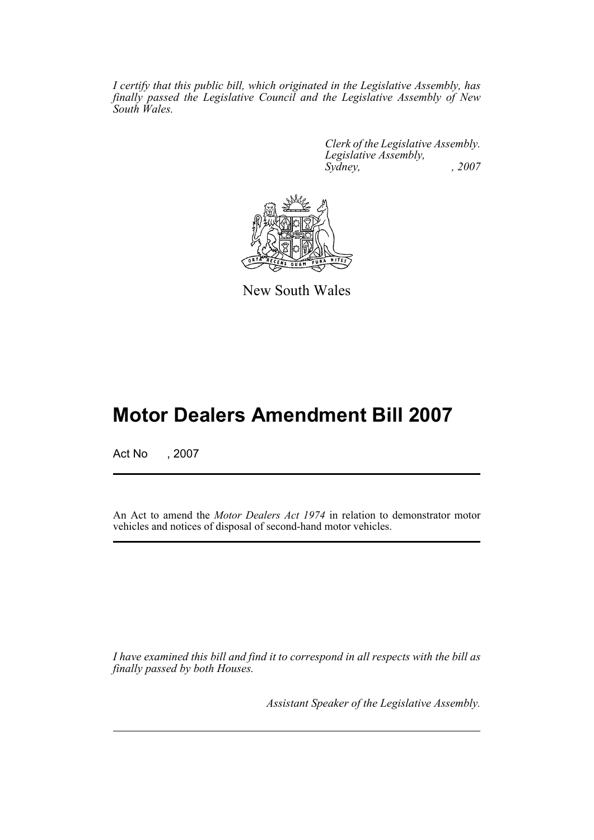*I certify that this public bill, which originated in the Legislative Assembly, has finally passed the Legislative Council and the Legislative Assembly of New South Wales.*

> *Clerk of the Legislative Assembly. Legislative Assembly, Sydney, , 2007*



New South Wales

## **Motor Dealers Amendment Bill 2007**

Act No , 2007

An Act to amend the *Motor Dealers Act 1974* in relation to demonstrator motor vehicles and notices of disposal of second-hand motor vehicles.

*I have examined this bill and find it to correspond in all respects with the bill as finally passed by both Houses.*

*Assistant Speaker of the Legislative Assembly.*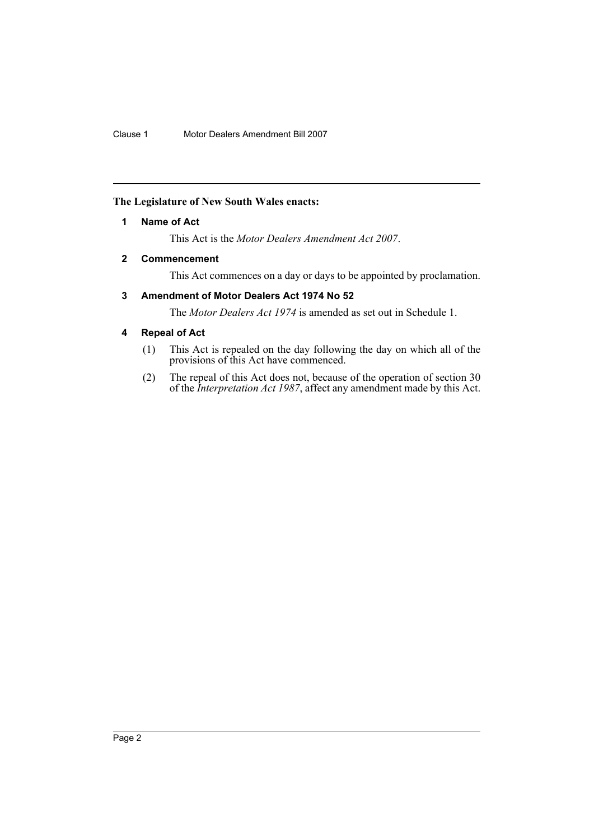#### <span id="page-2-0"></span>**The Legislature of New South Wales enacts:**

#### **1 Name of Act**

This Act is the *Motor Dealers Amendment Act 2007*.

#### <span id="page-2-1"></span>**2 Commencement**

This Act commences on a day or days to be appointed by proclamation.

#### <span id="page-2-2"></span>**3 Amendment of Motor Dealers Act 1974 No 52**

The *Motor Dealers Act 1974* is amended as set out in Schedule 1.

#### <span id="page-2-3"></span>**4 Repeal of Act**

- (1) This Act is repealed on the day following the day on which all of the provisions of this Act have commenced.
- (2) The repeal of this Act does not, because of the operation of section 30 of the *Interpretation Act 1987*, affect any amendment made by this Act.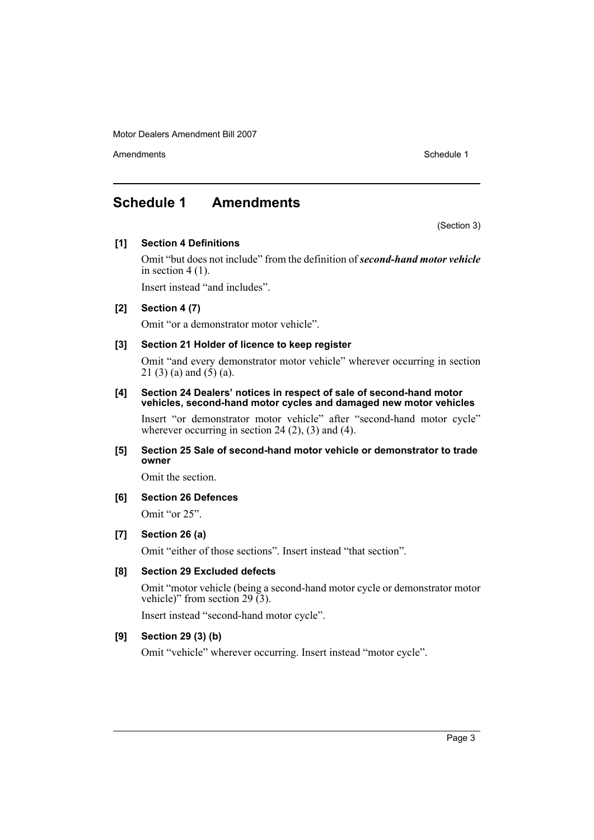Motor Dealers Amendment Bill 2007

Amendments **Schedule 1** and the set of the set of the set of the set of the set of the set of the set of the set of the set of the set of the set of the set of the set of the set of the set of the set of the set of the set

### <span id="page-3-0"></span>**Schedule 1 Amendments**

(Section 3)

#### **[1] Section 4 Definitions**

Omit "but does not include" from the definition of *second-hand motor vehicle* in section  $4(1)$ .

Insert instead "and includes".

#### **[2] Section 4 (7)**

Omit "or a demonstrator motor vehicle".

#### **[3] Section 21 Holder of licence to keep register**

Omit "and every demonstrator motor vehicle" wherever occurring in section 21 (3) (a) and  $(5)$  (a).

#### **[4] Section 24 Dealers' notices in respect of sale of second-hand motor vehicles, second-hand motor cycles and damaged new motor vehicles**

Insert "or demonstrator motor vehicle" after "second-hand motor cycle" wherever occurring in section 24 $(2)$ ,  $(3)$  and  $(4)$ .

#### **[5] Section 25 Sale of second-hand motor vehicle or demonstrator to trade owner**

Omit the section.

#### **[6] Section 26 Defences**

Omit "or 25".

#### **[7] Section 26 (a)**

Omit "either of those sections". Insert instead "that section".

#### **[8] Section 29 Excluded defects**

Omit "motor vehicle (being a second-hand motor cycle or demonstrator motor vehicle)" from section 29 (3).

Insert instead "second-hand motor cycle".

#### **[9] Section 29 (3) (b)**

Omit "vehicle" wherever occurring. Insert instead "motor cycle".